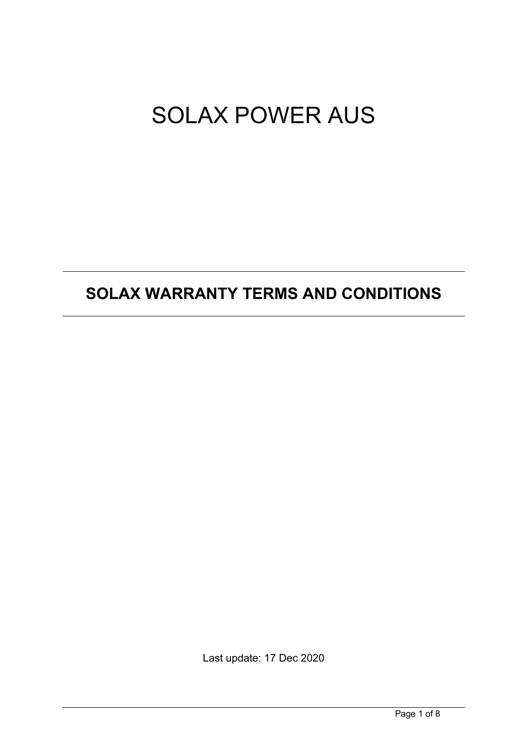# SOLAX POWER AUS

# **SOLAX WARRANTY TERMS AND CONDITIONS**

Last update: 17 Dec 2020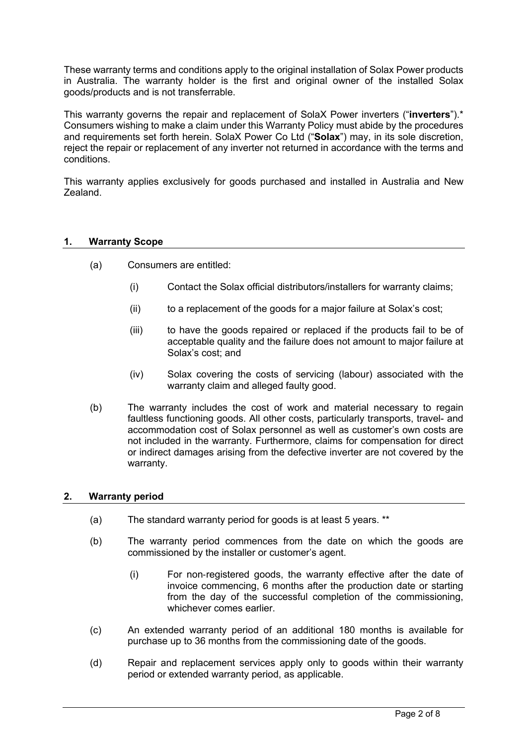These warranty terms and conditions apply to the original installation of Solax Power products in Australia. The warranty holder is the first and original owner of the installed Solax goods/products and is not transferrable.

This warranty governs the repair and replacement of SolaX Power inverters ("**inverters**").\* Consumers wishing to make a claim under this Warranty Policy must abide by the procedures and requirements set forth herein. SolaX Power Co Ltd ("**Solax**") may, in its sole discretion, reject the repair or replacement of any inverter not returned in accordance with the terms and conditions.

This warranty applies exclusively for goods purchased and installed in Australia and New Zealand.

# **1. Warranty Scope**

- (a) Consumers are entitled:
	- (i) Contact the Solax official distributors/installers for warranty claims;
	- (ii) to a replacement of the goods for a major failure at Solax's cost;
	- (iii) to have the goods repaired or replaced if the products fail to be of acceptable quality and the failure does not amount to major failure at Solax's cost; and
	- (iv) Solax covering the costs of servicing (labour) associated with the warranty claim and alleged faulty good.
- (b) The warranty includes the cost of work and material necessary to regain faultless functioning goods. All other costs, particularly transports, travel- and accommodation cost of Solax personnel as well as customer's own costs are not included in the warranty. Furthermore, claims for compensation for direct or indirect damages arising from the defective inverter are not covered by the warranty.

# **2. Warranty period**

- (a) The standard warranty period for goods is at least 5 years. \*\*
- (b) The warranty period commences from the date on which the goods are commissioned by the installer or customer's agent.
	- (i) For non-registered goods, the warranty effective after the date of invoice commencing, 6 months after the production date or starting from the day of the successful completion of the commissioning, whichever comes earlier
- (c) An extended warranty period of an additional 180 months is available for purchase up to 36 months from the commissioning date of the goods.
- (d) Repair and replacement services apply only to goods within their warranty period or extended warranty period, as applicable.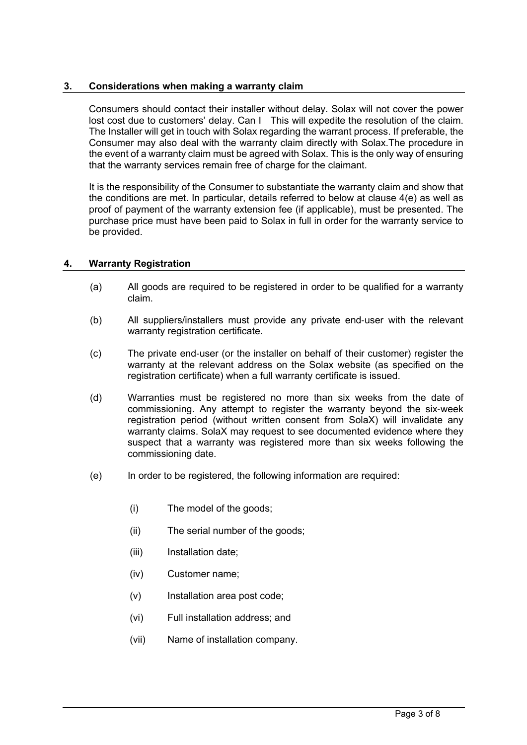# **3. Considerations when making a warranty claim**

Consumers should contact their installer without delay. Solax will not cover the power lost cost due to customers' delay. Can I This will expedite the resolution of the claim. The Installer will get in touch with Solax regarding the warrant process. If preferable, the Consumer may also deal with the warranty claim directly with Solax.The procedure in the event of a warranty claim must be agreed with Solax. This is the only way of ensuring that the warranty services remain free of charge for the claimant.

It is the responsibility of the Consumer to substantiate the warranty claim and show that the conditions are met. In particular, details referred to below at clause 4(e) as well as proof of payment of the warranty extension fee (if applicable), must be presented. The purchase price must have been paid to Solax in full in order for the warranty service to be provided.

# **4. Warranty Registration**

- (a) All goods are required to be registered in order to be qualified for a warranty claim.
- (b) All suppliers/installers must provide any private end-user with the relevant warranty registration certificate.
- (c) The private end-user (or the installer on behalf of their customer) register the warranty at the relevant address on the Solax website (as specified on the registration certificate) when a full warranty certificate is issued.
- (d) Warranties must be registered no more than six weeks from the date of commissioning. Any attempt to register the warranty beyond the six-week registration period (without written consent from SolaX) will invalidate any warranty claims. SolaX may request to see documented evidence where they suspect that a warranty was registered more than six weeks following the commissioning date.
- (e) In order to be registered, the following information are required:
	- (i) The model of the goods;
	- (ii) The serial number of the goods;
	- (iii) Installation date:
	- (iv) Customer name;
	- (v) Installation area post code;
	- (vi) Full installation address; and
	- (vii) Name of installation company.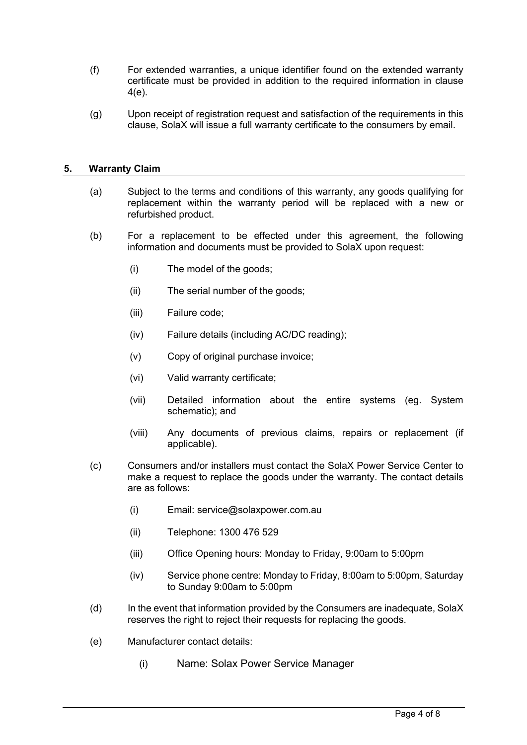- (f) For extended warranties, a unique identifier found on the extended warranty certificate must be provided in addition to the required information in clause 4(e).
- (g) Upon receipt of registration request and satisfaction of the requirements in this clause, SolaX will issue a full warranty certificate to the consumers by email.

# **5. Warranty Claim**

- (a) Subject to the terms and conditions of this warranty, any goods qualifying for replacement within the warranty period will be replaced with a new or refurbished product.
- (b) For a replacement to be effected under this agreement, the following information and documents must be provided to SolaX upon request:
	- (i) The model of the goods;
	- (ii) The serial number of the goods;
	- (iii) Failure code;
	- (iv) Failure details (including AC/DC reading);
	- (v) Copy of original purchase invoice;
	- (vi) Valid warranty certificate;
	- (vii) Detailed information about the entire systems (eg. System schematic); and
	- (viii) Any documents of previous claims, repairs or replacement (if applicable).
- (c) Consumers and/or installers must contact the SolaX Power Service Center to make a request to replace the goods under the warranty. The contact details are as follows:
	- (i) Email: service@solaxpower.com.au
	- (ii) Telephone: 1300 476 529
	- (iii) Office Opening hours: Monday to Friday, 9:00am to 5:00pm
	- (iv) Service phone centre: Monday to Friday, 8:00am to 5:00pm, Saturday to Sunday 9:00am to 5:00pm
- (d) In the event that information provided by the Consumers are inadequate, SolaX reserves the right to reject their requests for replacing the goods.
- (e) Manufacturer contact details:
	- (i) Name: Solax Power Service Manager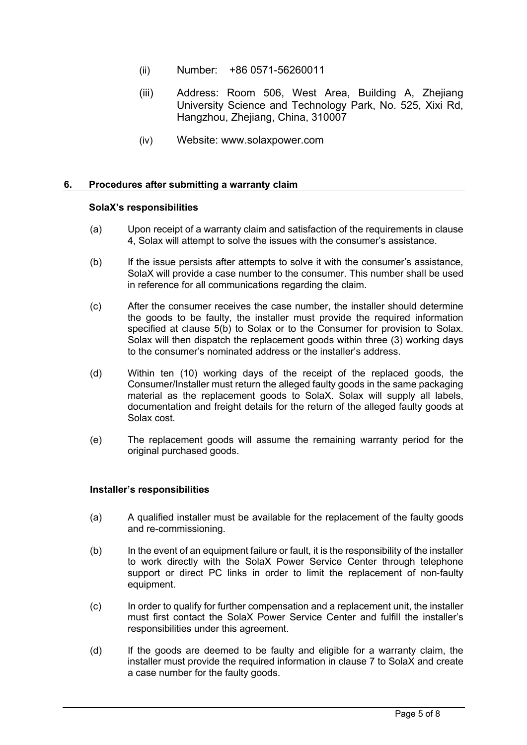- (ii) Number: +86 0571-56260011
- (iii) Address: Room 506, West Area, Building A, Zhejiang University Science and Technology Park, No. 525, Xixi Rd, Hangzhou, Zhejiang, China, 310007
- (iv) Website: www.solaxpower.com

#### **6. Procedures after submitting a warranty claim**

#### **SolaX's responsibilities**

- (a) Upon receipt of a warranty claim and satisfaction of the requirements in clause 4, Solax will attempt to solve the issues with the consumer's assistance.
- (b) If the issue persists after attempts to solve it with the consumer's assistance, SolaX will provide a case number to the consumer. This number shall be used in reference for all communications regarding the claim.
- (c) After the consumer receives the case number, the installer should determine the goods to be faulty, the installer must provide the required information specified at clause 5(b) to Solax or to the Consumer for provision to Solax. Solax will then dispatch the replacement goods within three (3) working days to the consumer's nominated address or the installer's address.
- (d) Within ten (10) working days of the receipt of the replaced goods, the Consumer/Installer must return the alleged faulty goods in the same packaging material as the replacement goods to SolaX. Solax will supply all labels, documentation and freight details for the return of the alleged faulty goods at Solax cost.
- (e) The replacement goods will assume the remaining warranty period for the original purchased goods.

#### **Installer's responsibilities**

- (a) A qualified installer must be available for the replacement of the faulty goods and re-commissioning.
- (b) In the event of an equipment failure or fault, it is the responsibility of the installer to work directly with the SolaX Power Service Center through telephone support or direct PC links in order to limit the replacement of non-faulty equipment.
- (c) In order to qualify for further compensation and a replacement unit, the installer must first contact the SolaX Power Service Center and fulfill the installer's responsibilities under this agreement.
- (d) If the goods are deemed to be faulty and eligible for a warranty claim, the installer must provide the required information in clause 7 to SolaX and create a case number for the faulty goods.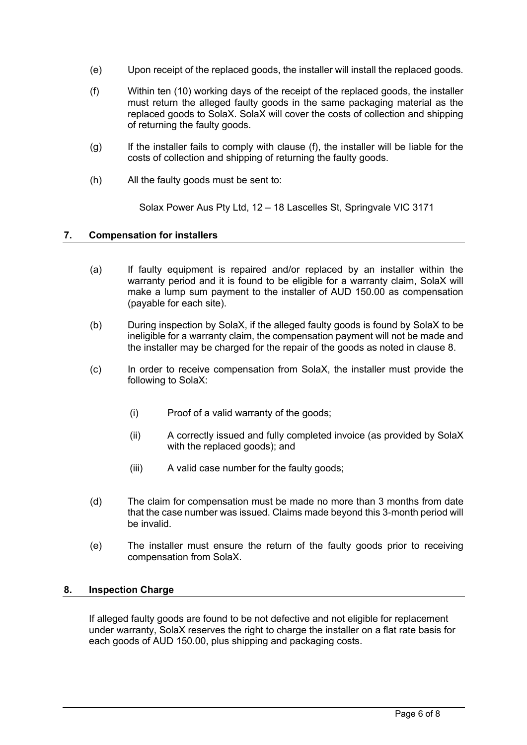- (e) Upon receipt of the replaced goods, the installer will install the replaced goods.
- (f) Within ten (10) working days of the receipt of the replaced goods, the installer must return the alleged faulty goods in the same packaging material as the replaced goods to SolaX. SolaX will cover the costs of collection and shipping of returning the faulty goods.
- (g) If the installer fails to comply with clause (f), the installer will be liable for the costs of collection and shipping of returning the faulty goods.
- (h) All the faulty goods must be sent to:

Solax Power Aus Pty Ltd, 12 – 18 Lascelles St, Springvale VIC 3171

# **7. Compensation for installers**

- (a) If faulty equipment is repaired and/or replaced by an installer within the warranty period and it is found to be eligible for a warranty claim, SolaX will make a lump sum payment to the installer of AUD 150.00 as compensation (payable for each site).
- (b) During inspection by SolaX, if the alleged faulty goods is found by SolaX to be ineligible for a warranty claim, the compensation payment will not be made and the installer may be charged for the repair of the goods as noted in clause 8.
- (c) In order to receive compensation from SolaX, the installer must provide the following to SolaX:
	- (i) Proof of a valid warranty of the goods;
	- (ii) A correctly issued and fully completed invoice (as provided by SolaX with the replaced goods); and
	- (iii) A valid case number for the faulty goods;
- (d) The claim for compensation must be made no more than 3 months from date that the case number was issued. Claims made beyond this 3-month period will be invalid.
- (e) The installer must ensure the return of the faulty goods prior to receiving compensation from SolaX.

#### **8. Inspection Charge**

If alleged faulty goods are found to be not defective and not eligible for replacement under warranty, SolaX reserves the right to charge the installer on a flat rate basis for each goods of AUD 150.00, plus shipping and packaging costs.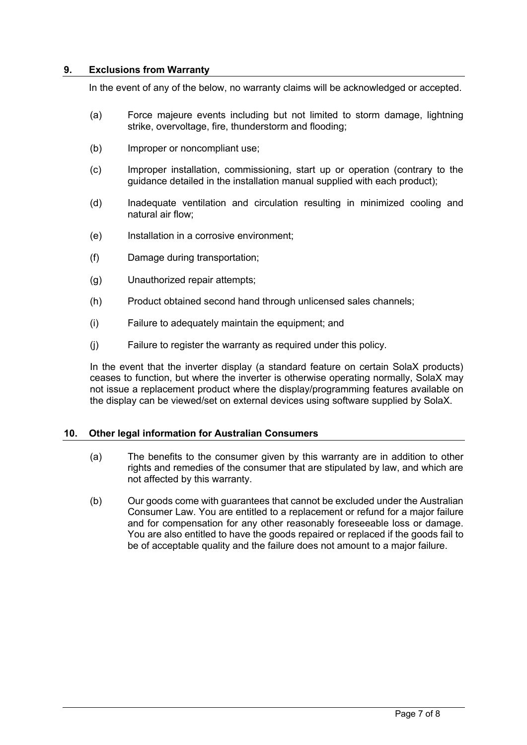# **9. Exclusions from Warranty**

In the event of any of the below, no warranty claims will be acknowledged or accepted.

- (a) Force majeure events including but not limited to storm damage, lightning strike, overvoltage, fire, thunderstorm and flooding;
- (b) Improper or noncompliant use;
- (c) Improper installation, commissioning, start up or operation (contrary to the guidance detailed in the installation manual supplied with each product);
- (d) Inadequate ventilation and circulation resulting in minimized cooling and natural air flow;
- (e) Installation in a corrosive environment;
- (f) Damage during transportation;
- (g) Unauthorized repair attempts;
- (h) Product obtained second hand through unlicensed sales channels;
- (i) Failure to adequately maintain the equipment; and
- (j) Failure to register the warranty as required under this policy.

In the event that the inverter display (a standard feature on certain SolaX products) ceases to function, but where the inverter is otherwise operating normally, SolaX may not issue a replacement product where the display/programming features available on the display can be viewed/set on external devices using software supplied by SolaX.

#### **10. Other legal information for Australian Consumers**

- (a) The benefits to the consumer given by this warranty are in addition to other rights and remedies of the consumer that are stipulated by law, and which are not affected by this warranty.
- (b) Our goods come with guarantees that cannot be excluded under the Australian Consumer Law. You are entitled to a replacement or refund for a major failure and for compensation for any other reasonably foreseeable loss or damage. You are also entitled to have the goods repaired or replaced if the goods fail to be of acceptable quality and the failure does not amount to a major failure.